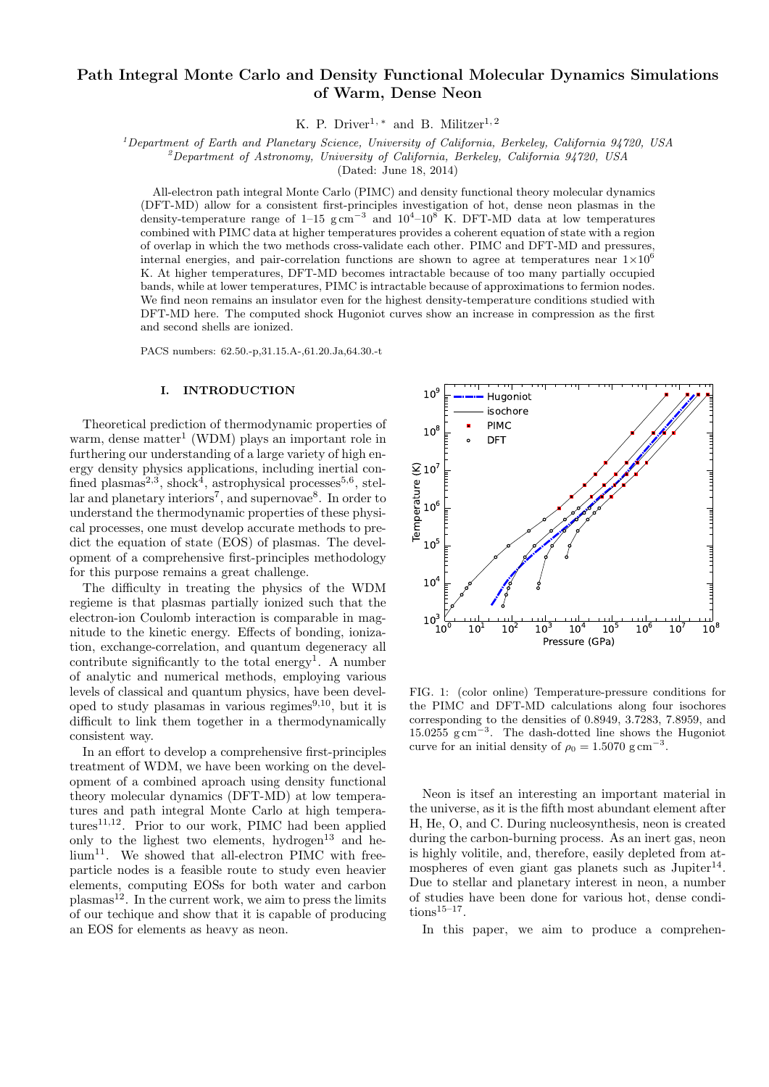# Path Integral Monte Carlo and Density Functional Molecular Dynamics Simulations of Warm, Dense Neon

K. P. Driver<sup>1,\*</sup> and B. Militzer<sup>1,2</sup>

 $1$ Department of Earth and Planetary Science, University of California, Berkeley, California 94720, USA

 $^{2}$ Department of Astronomy, University of California, Berkeley, California 94720, USA

(Dated: June 18, 2014)

All-electron path integral Monte Carlo (PIMC) and density functional theory molecular dynamics (DFT-MD) allow for a consistent first-principles investigation of hot, dense neon plasmas in the density-temperature range of 1–15 g cm<sup>-3</sup> and  $10^4$ – $10^8$  K. DFT-MD data at low temperatures combined with PIMC data at higher temperatures provides a coherent equation of state with a region of overlap in which the two methods cross-validate each other. PIMC and DFT-MD and pressures, internal energies, and pair-correlation functions are shown to agree at temperatures near  $1 \times 10^6$ K. At higher temperatures, DFT-MD becomes intractable because of too many partially occupied bands, while at lower temperatures, PIMC is intractable because of approximations to fermion nodes. We find neon remains an insulator even for the highest density-temperature conditions studied with DFT-MD here. The computed shock Hugoniot curves show an increase in compression as the first and second shells are ionized.

PACS numbers: 62.50.-p,31.15.A-,61.20.Ja,64.30.-t

### I. INTRODUCTION

Theoretical prediction of thermodynamic properties of warm, dense matter<sup>1</sup> (WDM) plays an important role in furthering our understanding of a large variety of high energy density physics applications, including inertial confined plasmas<sup>2,3</sup>, shock<sup>4</sup>, astrophysical processes<sup>5,6</sup>, stellar and planetary interiors<sup>7</sup>, and supernovae<sup>8</sup>. In order to understand the thermodynamic properties of these physical processes, one must develop accurate methods to predict the equation of state (EOS) of plasmas. The development of a comprehensive first-principles methodology for this purpose remains a great challenge.

The difficulty in treating the physics of the WDM regieme is that plasmas partially ionized such that the electron-ion Coulomb interaction is comparable in magnitude to the kinetic energy. Effects of bonding, ionization, exchange-correlation, and quantum degeneracy all contribute significantly to the total energy<sup>1</sup>. A number of analytic and numerical methods, employing various levels of classical and quantum physics, have been developed to study plasamas in various regimes $9,10$ , but it is difficult to link them together in a thermodynamically consistent way.

In an effort to develop a comprehensive first-principles treatment of WDM, we have been working on the development of a combined aproach using density functional theory molecular dynamics (DFT-MD) at low temperatures and path integral Monte Carlo at high tempera $tures<sup>11,12</sup>$ . Prior to our work, PIMC had been applied only to the lighest two elements, hydrogen<sup>13</sup> and he- $\lim_{n \to \infty} 1$ . We showed that all-electron PIMC with freeparticle nodes is a feasible route to study even heavier elements, computing EOSs for both water and carbon  $plasma<sup>12</sup>$ . In the current work, we aim to press the limits of our techique and show that it is capable of producing an EOS for elements as heavy as neon.



FIG. 1: (color online) Temperature-pressure conditions for the PIMC and DFT-MD calculations along four isochores corresponding to the densities of 0.8949, 3.7283, 7.8959, and 15.0255 g cm<sup>−</sup><sup>3</sup> . The dash-dotted line shows the Hugoniot curve for an initial density of  $\rho_0 = 1.5070 \text{ g cm}^{-3}$ .

Neon is itsef an interesting an important material in the universe, as it is the fifth most abundant element after H, He, O, and C. During nucleosynthesis, neon is created during the carbon-burning process. As an inert gas, neon is highly volitile, and, therefore, easily depleted from atmospheres of even giant gas planets such as  $Jupiter^{14}$ . Due to stellar and planetary interest in neon, a number of studies have been done for various hot, dense condi $tions^{15-17}$ .

In this paper, we aim to produce a comprehen-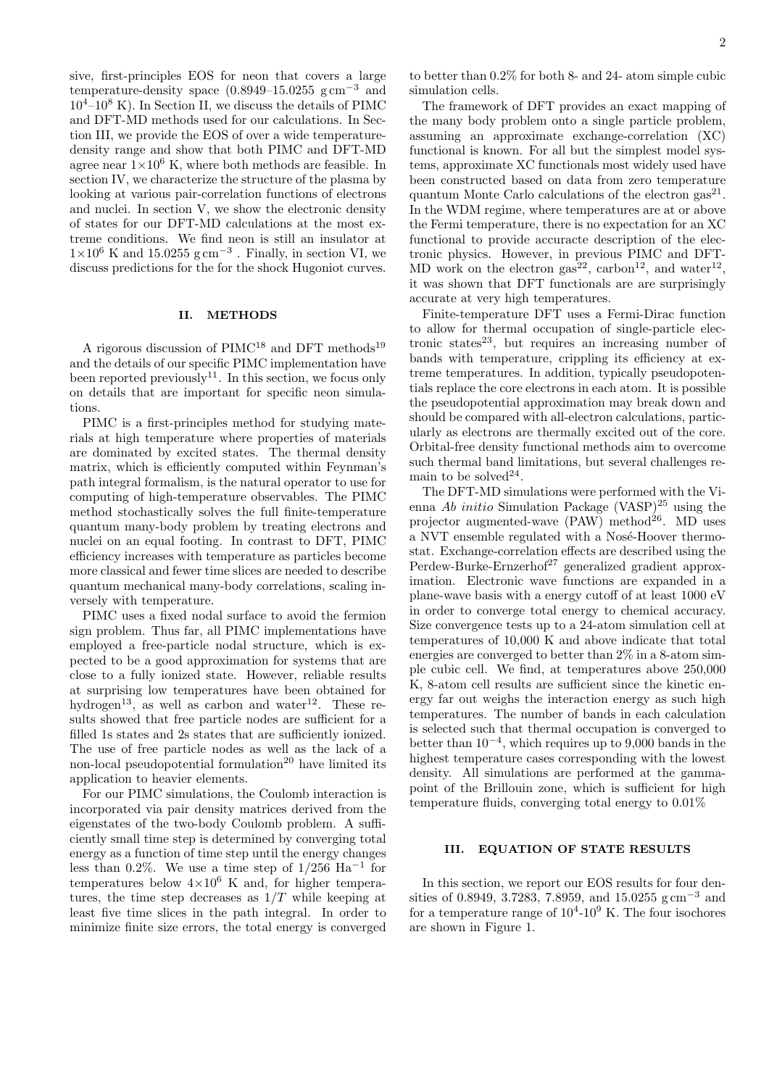sive, first-principles EOS for neon that covers a large temperature-density space  $(0.8949-15.0255 \text{ g cm}^{-3} \text{ and}$  $10^4$ – $10^8$  K). In Section II, we discuss the details of PIMC and DFT-MD methods used for our calculations. In Section III, we provide the EOS of over a wide temperaturedensity range and show that both PIMC and DFT-MD agree near  $1\times10^6$  K, where both methods are feasible. In section IV, we characterize the structure of the plasma by looking at various pair-correlation functions of electrons and nuclei. In section V, we show the electronic density of states for our DFT-MD calculations at the most extreme conditions. We find neon is still an insulator at  $1\times10^6$  K and 15.0255 g cm<sup>-3</sup>. Finally, in section VI, we discuss predictions for the for the shock Hugoniot curves.

### II. METHODS

A rigorous discussion of  $\text{PIMC}^{18}$  and DFT methods<sup>19</sup> and the details of our specific PIMC implementation have been reported previously<sup>11</sup>. In this section, we focus only on details that are important for specific neon simulations.

PIMC is a first-principles method for studying materials at high temperature where properties of materials are dominated by excited states. The thermal density matrix, which is efficiently computed within Feynman's path integral formalism, is the natural operator to use for computing of high-temperature observables. The PIMC method stochastically solves the full finite-temperature quantum many-body problem by treating electrons and nuclei on an equal footing. In contrast to DFT, PIMC efficiency increases with temperature as particles become more classical and fewer time slices are needed to describe quantum mechanical many-body correlations, scaling inversely with temperature.

PIMC uses a fixed nodal surface to avoid the fermion sign problem. Thus far, all PIMC implementations have employed a free-particle nodal structure, which is expected to be a good approximation for systems that are close to a fully ionized state. However, reliable results at surprising low temperatures have been obtained for hydrogen<sup>13</sup>, as well as carbon and water<sup>12</sup>. These results showed that free particle nodes are sufficient for a filled 1s states and 2s states that are sufficiently ionized. The use of free particle nodes as well as the lack of a non-local pseudopotential formulation<sup>20</sup> have limited its application to heavier elements.

For our PIMC simulations, the Coulomb interaction is incorporated via pair density matrices derived from the eigenstates of the two-body Coulomb problem. A sufficiently small time step is determined by converging total energy as a function of time step until the energy changes less than 0.2%. We use a time step of  $1/256$  Ha<sup>-1</sup> for temperatures below  $4\times10^6$  K and, for higher temperatures, the time step decreases as  $1/T$  while keeping at least five time slices in the path integral. In order to minimize finite size errors, the total energy is converged

to better than 0.2% for both 8- and 24- atom simple cubic simulation cells.

The framework of DFT provides an exact mapping of the many body problem onto a single particle problem, assuming an approximate exchange-correlation (XC) functional is known. For all but the simplest model systems, approximate XC functionals most widely used have been constructed based on data from zero temperature quantum Monte Carlo calculations of the electron  $\text{gas}^{21}$ . In the WDM regime, where temperatures are at or above the Fermi temperature, there is no expectation for an XC functional to provide accuracte description of the electronic physics. However, in previous PIMC and DFT-MD work on the electron  $\text{gas}^{22}$ , carbon<sup>12</sup>, and water<sup>12</sup>, it was shown that DFT functionals are are surprisingly accurate at very high temperatures.

Finite-temperature DFT uses a Fermi-Dirac function to allow for thermal occupation of single-particle electronic states<sup>23</sup>, but requires an increasing number of bands with temperature, crippling its efficiency at extreme temperatures. In addition, typically pseudopotentials replace the core electrons in each atom. It is possible the pseudopotential approximation may break down and should be compared with all-electron calculations, particularly as electrons are thermally excited out of the core. Orbital-free density functional methods aim to overcome such thermal band limitations, but several challenges remain to be solved<sup>24</sup>.

The DFT-MD simulations were performed with the Vienna Ab initio Simulation Package (VASP)<sup>25</sup> using the projector augmented-wave  $(PAW)$  method<sup>26</sup>. MD uses a NVT ensemble regulated with a Nosé-Hoover thermostat. Exchange-correlation effects are described using the Perdew-Burke-Ernzerhof<sup>27</sup> generalized gradient approximation. Electronic wave functions are expanded in a plane-wave basis with a energy cutoff of at least 1000 eV in order to converge total energy to chemical accuracy. Size convergence tests up to a 24-atom simulation cell at temperatures of 10,000 K and above indicate that total energies are converged to better than 2% in a 8-atom simple cubic cell. We find, at temperatures above 250,000 K, 8-atom cell results are sufficient since the kinetic energy far out weighs the interaction energy as such high temperatures. The number of bands in each calculation is selected such that thermal occupation is converged to better than 10<sup>−</sup><sup>4</sup> , which requires up to 9,000 bands in the highest temperature cases corresponding with the lowest density. All simulations are performed at the gammapoint of the Brillouin zone, which is sufficient for high temperature fluids, converging total energy to 0.01%

### III. EQUATION OF STATE RESULTS

In this section, we report our EOS results for four densities of 0.8949, 3.7283, 7.8959, and 15.0255 g cm<sup>-3</sup> and for a temperature range of  $10^4$ - $10^9$  K. The four isochores are shown in Figure 1.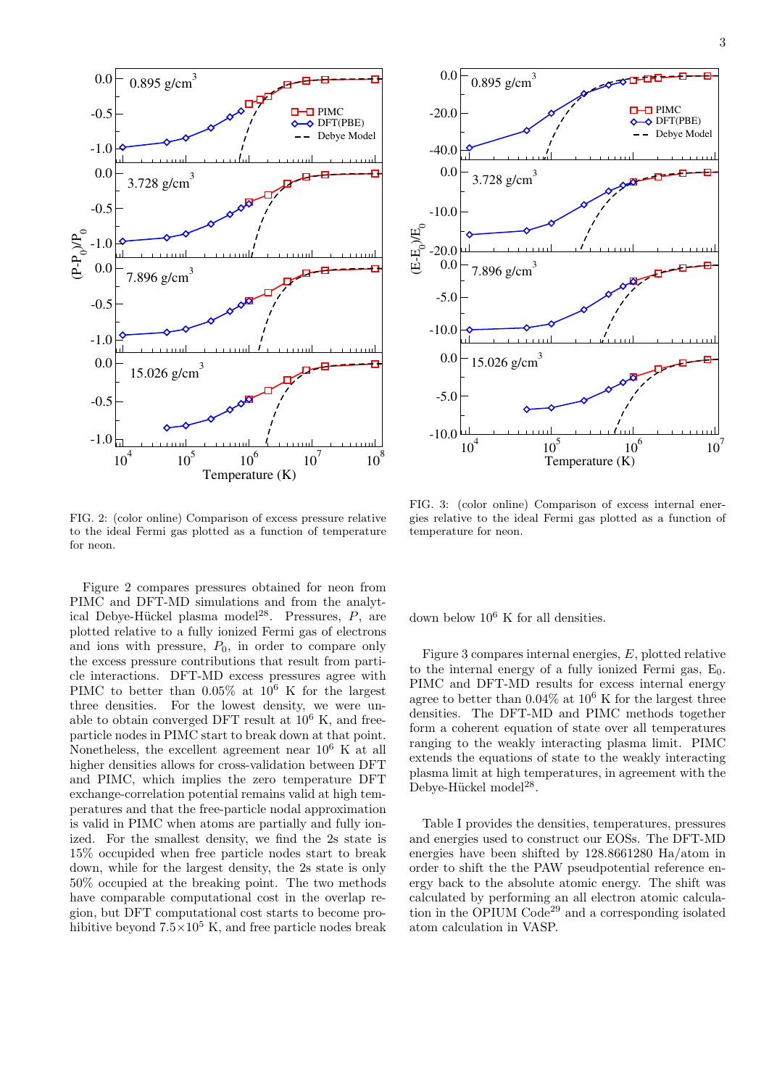

FIG. 2: (color online) Comparison of excess pressure relative to the ideal Fermi gas plotted as a function of temperature for neon.

Figure 2 compares pressures obtained for neon from PIMC and DFT-MD simulations and from the analytical Debye-Hückel plasma model<sup>28</sup>. Pressures,  $P$ , are plotted relative to a fully ionized Fermi gas of electrons and ions with pressure,  $P_0$ , in order to compare only the excess pressure contributions that result from particle interactions. DFT-MD excess pressures agree with PIMC to better than  $0.05\%$  at  $10^6$  K for the largest three densities. For the lowest density, we were unable to obtain converged DFT result at  $10^6$  K, and freeparticle nodes in PIMC start to break down at that point. Nonetheless, the excellent agreement near 10<sup>6</sup> K at all higher densities allows for cross-validation between DFT and PIMC, which implies the zero temperature DFT exchange-correlation potential remains valid at high temperatures and that the free-particle nodal approximation is valid in PIMC when atoms are partially and fully ionized. For the smallest density, we find the 2s state is 15% occupided when free particle nodes start to break down, while for the largest density, the 2s state is only 50% occupied at the breaking point. The two methods have comparable computational cost in the overlap region, but DFT computational cost starts to become prohibitive beyond  $7.5\times10^5$  K, and free particle nodes break



FIG. 3: (color online) Comparison of excess internal energies relative to the ideal Fermi gas plotted as a function of temperature for neon.

down below  $10^6$  K for all densities.

Figure 3 compares internal energies, E, plotted relative to the internal energy of a fully ionized Fermi gas,  $E_0$ . PIMC and DFT-MD results for excess internal energy agree to better than  $0.04\%$  at  $10^6$  K for the largest three densities. The DFT-MD and PIMC methods together form a coherent equation of state over all temperatures ranging to the weakly interacting plasma limit. PIMC extends the equations of state to the weakly interacting plasma limit at high temperatures, in agreement with the Debye-Hückel model<sup>28</sup>.

Table I provides the densities, temperatures, pressures and energies used to construct our EOSs. The DFT-MD energies have been shifted by 128.8661280 Ha/atom in order to shift the the PAW pseudpotential reference energy back to the absolute atomic energy. The shift was calculated by performing an all electron atomic calculation in the OPIUM  $\ddot{C}$  code<sup>29</sup> and a corresponding isolated atom calculation in VASP.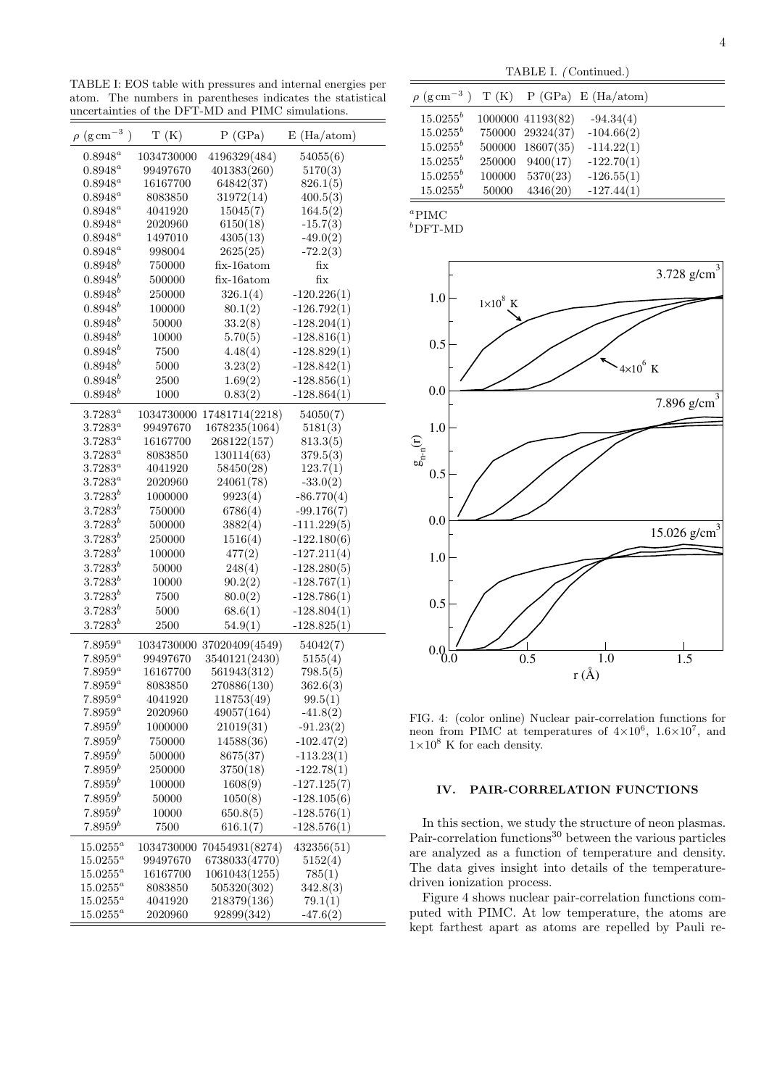TABLE I: EOS table with pressures and internal energies per atom. The numbers in parentheses indicates the statistical uncertainties of the DFT-MD and PIMC simulations.

| $\rho~(\rm g\,cm^{-3}$ )   | T(K)                   | P(GPa)                  | E(Ha/atom)           |  |
|----------------------------|------------------------|-------------------------|----------------------|--|
| $0.8948^a$                 | 1034730000             | 4196329(484)            | 54055(6)             |  |
| $0.8948^a$                 | 99497670               | 401383(260)             | 5170(3)              |  |
| $0.8948^a$                 | 16167700               | 64842(37)               | 826.1(5)             |  |
| $0.8948^a$                 | 8083850                | 31972(14)               | 400.5(3)             |  |
| $0.8948^a$                 | 4041920                | 15045(7)                | 164.5(2)             |  |
| $0.8948^a$                 | 2020960                | 6150(18)                | $-15.7(3)$           |  |
| $0.8948^a$                 | 1497010                | 4305(13)                | $-49.0(2)$           |  |
| $0.8948^a$                 | 998004                 | 2625(25)                | $-72.2(3)$           |  |
| $0.8948^{b}$               | 750000                 | $fix-16$ atom           | fix                  |  |
| $0.8948^{b}$               | 500000                 | fix-16atom              | fix                  |  |
| $0.8948^{b}$               | 250000                 | 326.1(4)                | $-120.226(1)$        |  |
| $0.8948^{b}$               | 100000                 | 80.1(2)                 | $-126.792(1)$        |  |
| $0.8948^{b}$               | 50000                  | 33.2(8)                 | $-128.204(1)$        |  |
| $0.8948^{b}$               | 10000                  | 5.70(5)                 | $-128.816(1)$        |  |
| $0.8948^{b}$               | 7500                   | 4.48(4)                 | $-128.829(1)$        |  |
| $0.8948^{b}$               | 5000                   | 3.23(2)                 | $-128.842(1)$        |  |
| $0.8948^{b}$               | 2500                   | 1.69(2)                 | $-128.856(1)$        |  |
| $0.8948^b$                 | 1000                   | 0.83(2)                 | $-128.864(1)$        |  |
|                            |                        |                         |                      |  |
| $3.7283^{a}$               | 1034730000<br>99497670 | 17481714(2218)          | 54050(7)             |  |
| $3.7283^a$                 |                        | 1678235(1064)           | 5181(3)              |  |
| $3.7283^a$<br>$3.7283^{a}$ | 16167700<br>8083850    | 268122(157)             | 813.3(5)<br>379.5(3) |  |
| $3.7283^a$                 | 4041920                | 130114(63)<br>58450(28) | 123.7(1)             |  |
| $3.7283^{a}$               | 2020960                | 24061(78)               |                      |  |
| $3.7283^{b}$               |                        |                         | $-33.0(2)$           |  |
| $3.7283^{b}$               | 1000000                | 9923(4)                 | $-86.770(4)$         |  |
| $3.7283^{b}$               | 750000                 | 6786(4)                 | $-99.176(7)$         |  |
|                            | 500000                 | 3882(4)                 | $-111.229(5)$        |  |
| $3.7283^b$                 | 250000                 | 1516(4)                 | $-122.180(6)$        |  |
| $3.7283^{b}$               | 100000                 | 477(2)                  | $-127.211(4)$        |  |
| $3.7283^{b}$               | 50000                  | 248(4)                  | $-128.280(5)$        |  |
| $3.7283^{b}$               | 10000                  | 90.2(2)                 | $-128.767(1)$        |  |
| $3.7283^{b}$               | 7500                   | 80.0(2)                 | $-128.786(1)$        |  |
| $3.7283^{b}$               | 5000                   | 68.6(1)                 | $-128.804(1)$        |  |
| $3.7283^{b}$               | 2500                   | 54.9(1)                 | $-128.825(1)$        |  |
| $7.8959^a$                 | 1034730000             | 37020409(4549)          | 54042(7)             |  |
| $7.8959^a$                 | 99497670               | 3540121(2430)           | 5155(4)              |  |
| $7.8959^a$                 | 16167700               | 561943(312)             | 798.5(5)             |  |
| $7.8959^a$                 | 8083850                | 270886(130)             | 362.6(3)             |  |
| $7.8959^a$                 | 4041920                | 118753(49)              | 99.5(1)              |  |
| $7.8959^a$                 | 2020960                | 49057(164)              | $-41.8(2)$           |  |
| $7.8959^{b}$               | 1000000                | 21019(31)               | $-91.23(2)$          |  |
| $7.8959^{b}$               | 750000                 | 14588(36)               | $-102.47(2)$         |  |
| $7.8959^{b}$               | 500000                 | 8675(37)                | $-113.23(1)$         |  |
| $7.8959^{b}$               | 250000                 | 3750(18)                | $-122.78(1)$         |  |
| $7.8959^{b}$               | 100000                 | 1608(9)                 | $-127.125(7)$        |  |
| $7.8959^{b}$               | 50000                  | 1050(8)                 | $-128.105(6)$        |  |
| $7.8959^{b}$               | 10000                  | 650.8(5)                | $-128.576(1)$        |  |
| $7.8959^{b}$               | 7500                   | 616.1(7)                | $-128.576(1)$        |  |
| $15.0255^a$                | 1034730000             | 70454931(8274)          | 432356(51)           |  |
| $15.0255^a$                | 99497670               | 6738033(4770)           | 5152(4)              |  |
| $15.0255^a$                | 16167700               | 1061043(1255)           | 785(1)               |  |
| $15.0255^a$                | 8083850                | 505320(302)             | 342.8(3)             |  |
| $15.0255^a$                | 4041920                | 218379(136)             | 79.1(1)              |  |
| $15.0255^a$                | 2020960                | 92899(342)              | $-47.6(2)$           |  |
|                            |                        |                         |                      |  |

| IABLE I. (Continued.) |       |                   |                                                        |  |  |  |
|-----------------------|-------|-------------------|--------------------------------------------------------|--|--|--|
|                       |       |                   | $\rho$ (g cm <sup>-3</sup> ) T (K) P (GPa) E (Ha/atom) |  |  |  |
| $15.0255^b$           |       | 1000000 41193(82) | $-94.34(4)$                                            |  |  |  |
| $15.0255^b$           |       | 750000 29324(37)  | $-104.66(2)$                                           |  |  |  |
| $15.0255^b$           |       | 500000 18607(35)  | $-114.22(1)$                                           |  |  |  |
| $15.0255^b$           |       | 250000 9400(17)   | $-122.70(1)$                                           |  |  |  |
| $15.0255^b$           |       | 100000 5370(23)   | $-126.55(1)$                                           |  |  |  |
| $15.0255^b$           | 50000 | 4346(20)          | $-127.44(1)$                                           |  |  |  |

 $TATET/$ 

| w<br>i |
|--------|
|        |

 $b$ DFT-MD



FIG. 4: (color online) Nuclear pair-correlation functions for neon from PIMC at temperatures of  $4 \times 10^6$ ,  $1.6 \times 10^7$ , and  $1\times10^8$  K for each density.

# IV. PAIR-CORRELATION FUNCTIONS

In this section, we study the structure of neon plasmas. Pair-correlation functions<sup>30</sup> between the various particles are analyzed as a function of temperature and density. The data gives insight into details of the temperaturedriven ionization process.

Figure 4 shows nuclear pair-correlation functions computed with PIMC. At low temperature, the atoms are kept farthest apart as atoms are repelled by Pauli re-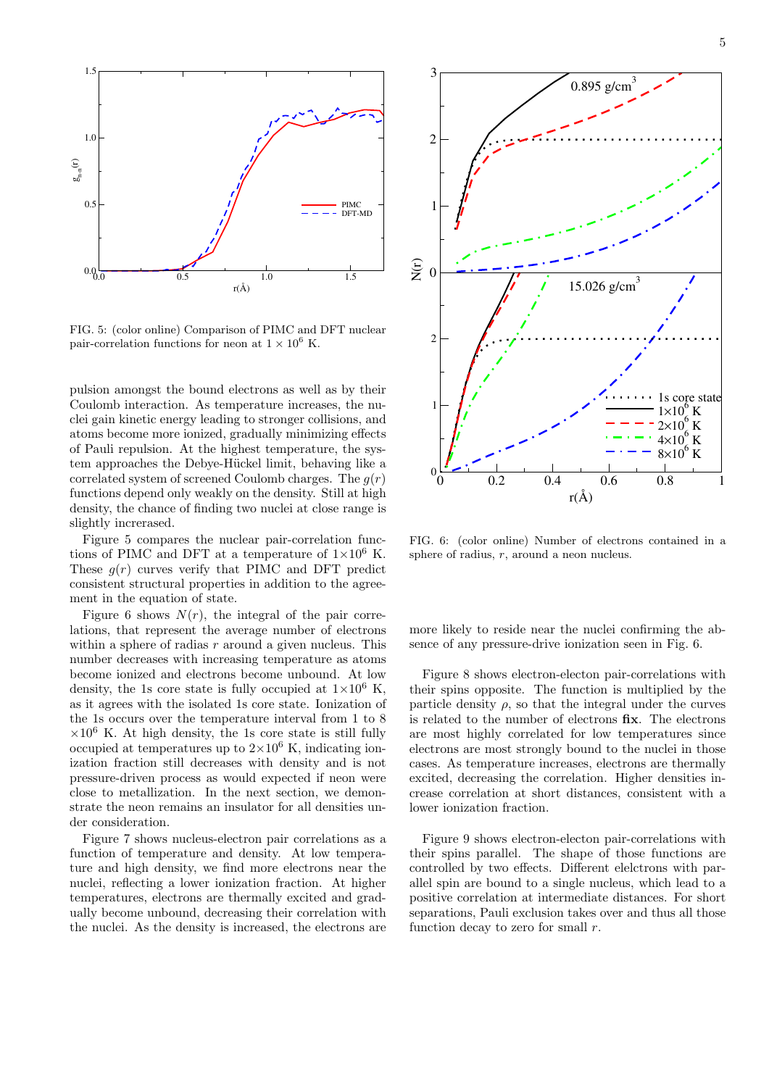

FIG. 5: (color online) Comparison of PIMC and DFT nuclear pair-correlation functions for neon at  $1 \times 10^6$  K.

pulsion amongst the bound electrons as well as by their Coulomb interaction. As temperature increases, the nuclei gain kinetic energy leading to stronger collisions, and atoms become more ionized, gradually minimizing effects of Pauli repulsion. At the highest temperature, the system approaches the Debye-Hückel limit, behaving like a correlated system of screened Coulomb charges. The  $q(r)$ functions depend only weakly on the density. Still at high density, the chance of finding two nuclei at close range is slightly increrased.

Figure 5 compares the nuclear pair-correlation functions of PIMC and DFT at a temperature of  $1\times10^6$  K. These  $q(r)$  curves verify that PIMC and DFT predict consistent structural properties in addition to the agreement in the equation of state.

Figure 6 shows  $N(r)$ , the integral of the pair correlations, that represent the average number of electrons within a sphere of radias  $r$  around a given nucleus. This number decreases with increasing temperature as atoms become ionized and electrons become unbound. At low density, the 1s core state is fully occupied at  $1\times10^6$  K, as it agrees with the isolated 1s core state. Ionization of the 1s occurs over the temperature interval from 1 to 8  $\times 10^6$  K. At high density, the 1s core state is still fully occupied at temperatures up to  $2\times10^6$  K, indicating ionization fraction still decreases with density and is not pressure-driven process as would expected if neon were close to metallization. In the next section, we demonstrate the neon remains an insulator for all densities under consideration.

Figure 7 shows nucleus-electron pair correlations as a function of temperature and density. At low temperature and high density, we find more electrons near the nuclei, reflecting a lower ionization fraction. At higher temperatures, electrons are thermally excited and gradually become unbound, decreasing their correlation with the nuclei. As the density is increased, the electrons are



FIG. 6: (color online) Number of electrons contained in a sphere of radius,  $r$ , around a neon nucleus.

more likely to reside near the nuclei confirming the absence of any pressure-drive ionization seen in Fig. 6.

Figure 8 shows electron-electon pair-correlations with their spins opposite. The function is multiplied by the particle density  $\rho$ , so that the integral under the curves is related to the number of electrons fix. The electrons are most highly correlated for low temperatures since electrons are most strongly bound to the nuclei in those cases. As temperature increases, electrons are thermally excited, decreasing the correlation. Higher densities increase correlation at short distances, consistent with a lower ionization fraction.

Figure 9 shows electron-electon pair-correlations with their spins parallel. The shape of those functions are controlled by two effects. Different elelctrons with parallel spin are bound to a single nucleus, which lead to a positive correlation at intermediate distances. For short separations, Pauli exclusion takes over and thus all those function decay to zero for small  $r$ .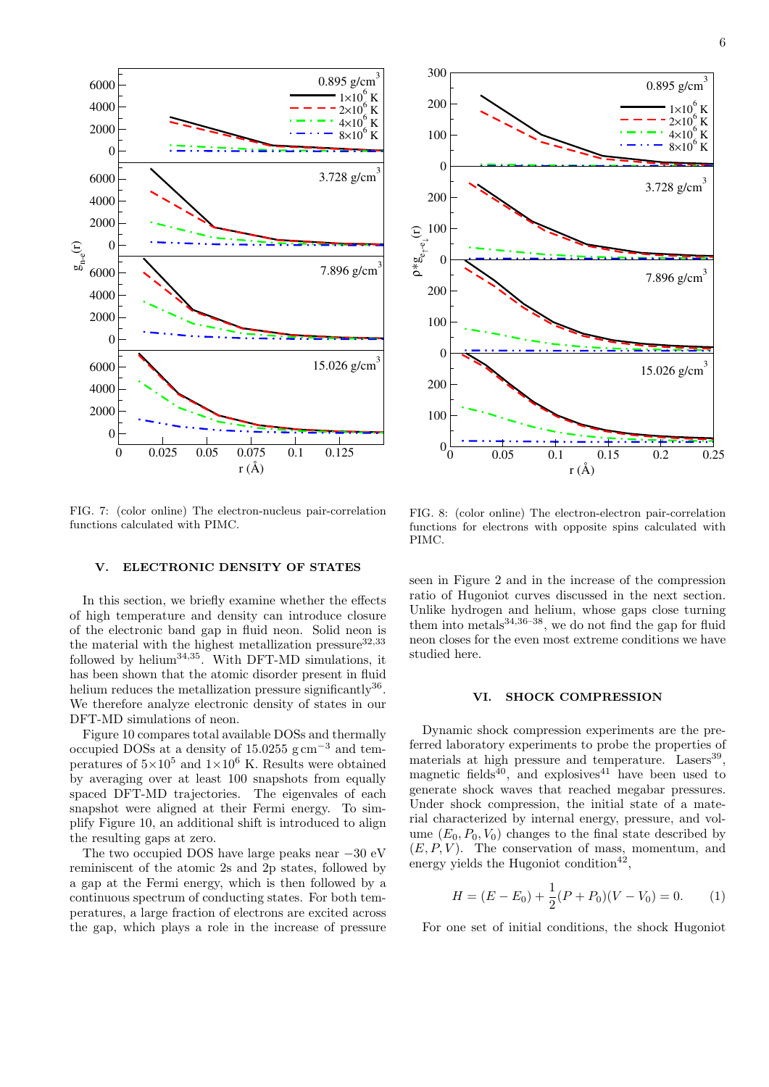

FIG. 7: (color online) The electron-nucleus pair-correlation functions calculated with PIMC.

### V. ELECTRONIC DENSITY OF STATES

In this section, we briefly examine whether the effects of high temperature and density can introduce closure of the electronic band gap in fluid neon. Solid neon is the material with the highest metallization pressure  $32,33$ followed by helium<sup>34,35</sup>. With DFT-MD simulations, it has been shown that the atomic disorder present in fluid helium reduces the metallization pressure significantly<sup>36</sup>. We therefore analyze electronic density of states in our DFT-MD simulations of neon.

Figure 10 compares total available DOSs and thermally occupied DOSs at a density of 15.0255  $\text{g cm}^{-3}$  and temperatures of  $5\times10^5$  and  $1\times10^6$  K. Results were obtained by averaging over at least 100 snapshots from equally spaced DFT-MD trajectories. The eigenvales of each snapshot were aligned at their Fermi energy. To simplify Figure 10, an additional shift is introduced to align the resulting gaps at zero.

The two occupied DOS have large peaks near −30 eV reminiscent of the atomic 2s and 2p states, followed by a gap at the Fermi energy, which is then followed by a continuous spectrum of conducting states. For both temperatures, a large fraction of electrons are excited across the gap, which plays a role in the increase of pressure



FIG. 8: (color online) The electron-electron pair-correlation functions for electrons with opposite spins calculated with PIMC.

seen in Figure 2 and in the increase of the compression ratio of Hugoniot curves discussed in the next section. Unlike hydrogen and helium, whose gaps close turning them into metals $34,36-38$ , we do not find the gap for fluid neon closes for the even most extreme conditions we have studied here.

# VI. SHOCK COMPRESSION

Dynamic shock compression experiments are the preferred laboratory experiments to probe the properties of materials at high pressure and temperature. Lasers<sup>39</sup>, magnetic fields<sup>40</sup>, and explosives<sup>41</sup> have been used to generate shock waves that reached megabar pressures. Under shock compression, the initial state of a material characterized by internal energy, pressure, and volume  $(E_0, P_0, V_0)$  changes to the final state described by  $(E, P, V)$ . The conservation of mass, momentum, and energy yields the Hugoniot condition<sup>42</sup>,

$$
H = (E - E_0) + \frac{1}{2}(P + P_0)(V - V_0) = 0.
$$
 (1)

For one set of initial conditions, the shock Hugoniot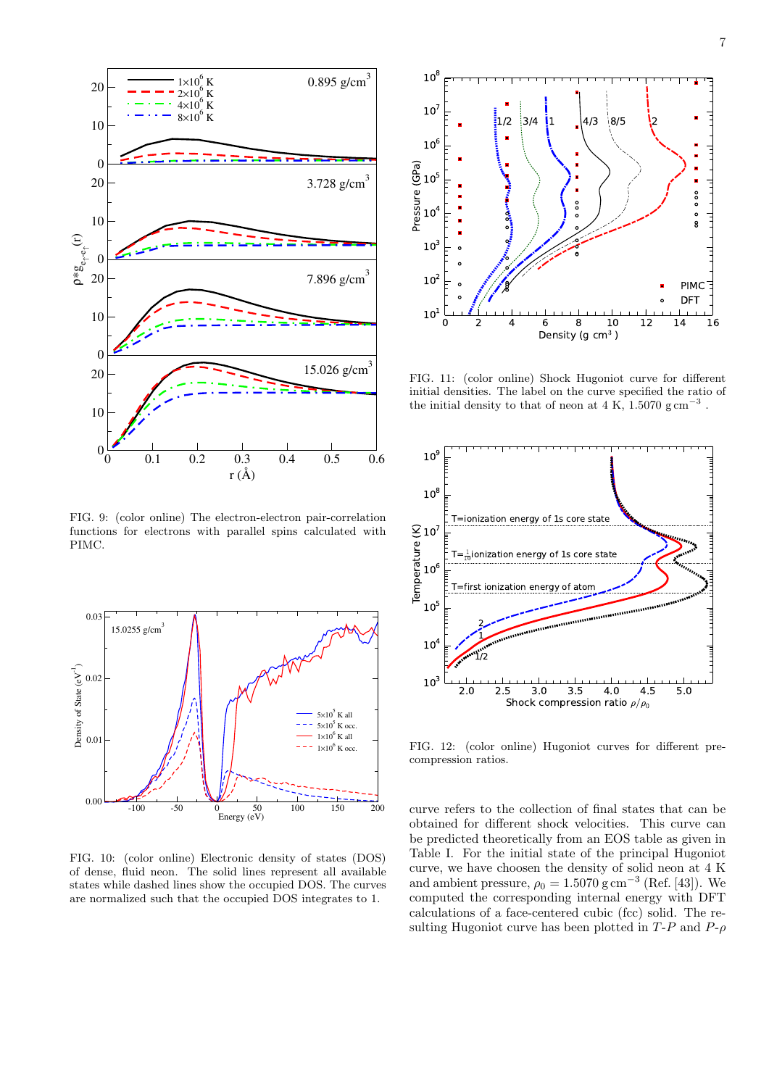

FIG. 9: (color online) The electron-electron pair-correlation functions for electrons with parallel spins calculated with PIMC.



FIG. 10: (color online) Electronic density of states (DOS) of dense, fluid neon. The solid lines represent all available states while dashed lines show the occupied DOS. The curves are normalized such that the occupied DOS integrates to 1.



FIG. 11: (color online) Shock Hugoniot curve for different initial densities. The label on the curve specified the ratio of the initial density to that of neon at 4 K,  $1.5070$   $\text{g cm}^{-3}$ .



FIG. 12: (color online) Hugoniot curves for different precompression ratios.

curve refers to the collection of final states that can be obtained for different shock velocities. This curve can be predicted theoretically from an EOS table as given in Table I. For the initial state of the principal Hugoniot curve, we have choosen the density of solid neon at 4 K and ambient pressure,  $\rho_0 = 1.5070 \text{ g cm}^{-3}$  (Ref. [43]). We computed the corresponding internal energy with DFT calculations of a face-centered cubic (fcc) solid. The resulting Hugoniot curve has been plotted in  $T-P$  and  $P-\rho$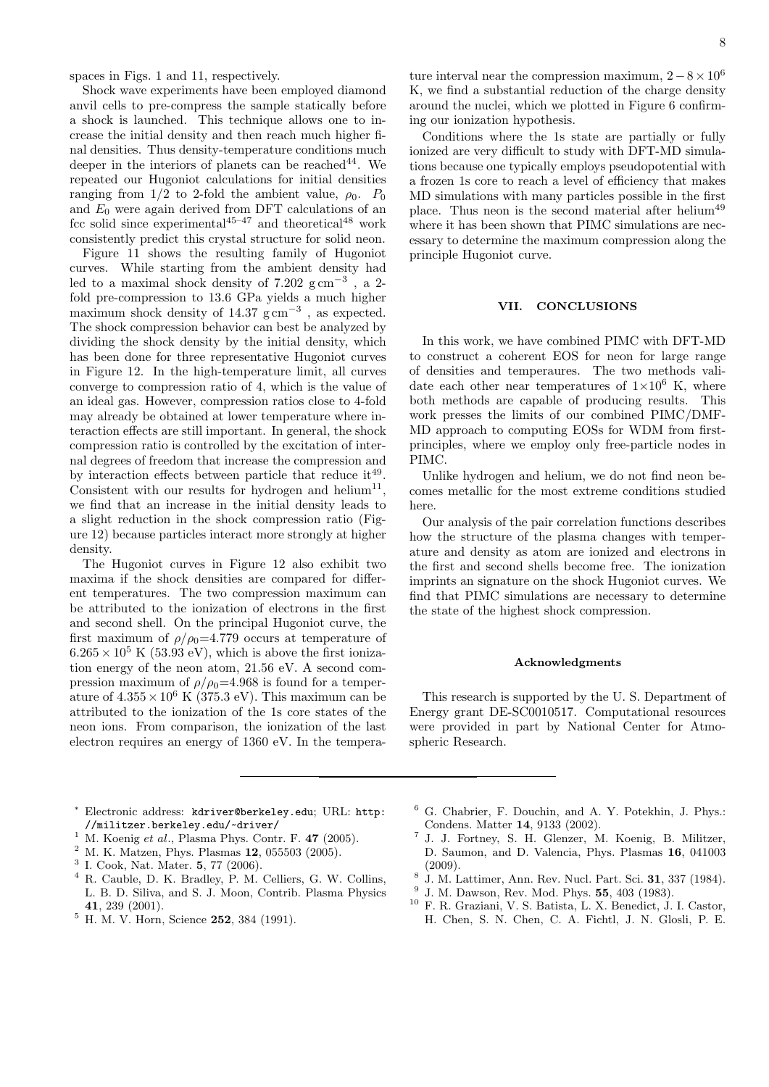spaces in Figs. 1 and 11, respectively.

Shock wave experiments have been employed diamond anvil cells to pre-compress the sample statically before a shock is launched. This technique allows one to increase the initial density and then reach much higher final densities. Thus density-temperature conditions much deeper in the interiors of planets can be reached  $44$ . We repeated our Hugoniot calculations for initial densities ranging from 1/2 to 2-fold the ambient value,  $\rho_0$ .  $P_0$ and  $E_0$  were again derived from DFT calculations of an fcc solid since experimental<sup>45–47</sup> and theoretical<sup>48</sup> work consistently predict this crystal structure for solid neon.

Figure 11 shows the resulting family of Hugoniot curves. While starting from the ambient density had led to a maximal shock density of  $7.202 \text{ g cm}^{-3}$ , a 2fold pre-compression to 13.6 GPa yields a much higher maximum shock density of  $14.37 \text{ g cm}^{-3}$ , as expected. The shock compression behavior can best be analyzed by dividing the shock density by the initial density, which has been done for three representative Hugoniot curves in Figure 12. In the high-temperature limit, all curves converge to compression ratio of 4, which is the value of an ideal gas. However, compression ratios close to 4-fold may already be obtained at lower temperature where interaction effects are still important. In general, the shock compression ratio is controlled by the excitation of internal degrees of freedom that increase the compression and by interaction effects between particle that reduce  $it^{49}$ . Consistent with our results for hydrogen and helium<sup>11</sup>, we find that an increase in the initial density leads to a slight reduction in the shock compression ratio (Figure 12) because particles interact more strongly at higher density.

The Hugoniot curves in Figure 12 also exhibit two maxima if the shock densities are compared for different temperatures. The two compression maximum can be attributed to the ionization of electrons in the first and second shell. On the principal Hugoniot curve, the first maximum of  $\rho/\rho_0=4.779$  occurs at temperature of  $6.265 \times 10^5$  K (53.93 eV), which is above the first ionization energy of the neon atom, 21.56 eV. A second compression maximum of  $\rho/\rho_0=4.968$  is found for a temperature of  $4.355 \times 10^6$  K (375.3 eV). This maximum can be attributed to the ionization of the 1s core states of the neon ions. From comparison, the ionization of the last electron requires an energy of 1360 eV. In the temperature interval near the compression maximum,  $2 - 8 \times 10^6$ K, we find a substantial reduction of the charge density around the nuclei, which we plotted in Figure 6 confirming our ionization hypothesis.

Conditions where the 1s state are partially or fully ionized are very difficult to study with DFT-MD simulations because one typically employs pseudopotential with a frozen 1s core to reach a level of efficiency that makes MD simulations with many particles possible in the first place. Thus neon is the second material after helium<sup>49</sup> where it has been shown that PIMC simulations are necessary to determine the maximum compression along the principle Hugoniot curve.

#### VII. CONCLUSIONS

In this work, we have combined PIMC with DFT-MD to construct a coherent EOS for neon for large range of densities and temperaures. The two methods validate each other near temperatures of  $1\times10^6$  K, where both methods are capable of producing results. This work presses the limits of our combined PIMC/DMF-MD approach to computing EOSs for WDM from firstprinciples, where we employ only free-particle nodes in PIMC.

Unlike hydrogen and helium, we do not find neon becomes metallic for the most extreme conditions studied here.

Our analysis of the pair correlation functions describes how the structure of the plasma changes with temperature and density as atom are ionized and electrons in the first and second shells become free. The ionization imprints an signature on the shock Hugoniot curves. We find that PIMC simulations are necessary to determine the state of the highest shock compression.

#### Acknowledgments

This research is supported by the U. S. Department of Energy grant DE-SC0010517. Computational resources were provided in part by National Center for Atmospheric Research.

- <sup>∗</sup> Electronic address: kdriver@berkeley.edu; URL: http: //militzer.berkeley.edu/~driver/
- <sup>1</sup> M. Koenig *et al.*, Plasma Phys. Contr. F. 47 (2005).
- <sup>2</sup> M. K. Matzen, Phys. Plasmas 12, 055503 (2005).
- $3$  I. Cook, Nat. Mater. 5, 77 (2006).
- <sup>4</sup> R. Cauble, D. K. Bradley, P. M. Celliers, G. W. Collins, L. B. D. Siliva, and S. J. Moon, Contrib. Plasma Physics 41, 239 (2001).
- <sup>5</sup> H. M. V. Horn, Science **252**, 384 (1991).
- <sup>6</sup> G. Chabrier, F. Douchin, and A. Y. Potekhin, J. Phys.: Condens. Matter 14, 9133 (2002). 7
- J. J. Fortney, S. H. Glenzer, M. Koenig, B. Militzer, D. Saumon, and D. Valencia, Phys. Plasmas 16, 041003 (2009).
- 8 J. M. Lattimer, Ann. Rev. Nucl. Part. Sci. 31, 337 (1984).
- 9 J. M. Dawson, Rev. Mod. Phys. 55, 403 (1983).
- <sup>10</sup> F. R. Graziani, V. S. Batista, L. X. Benedict, J. I. Castor, H. Chen, S. N. Chen, C. A. Fichtl, J. N. Glosli, P. E.